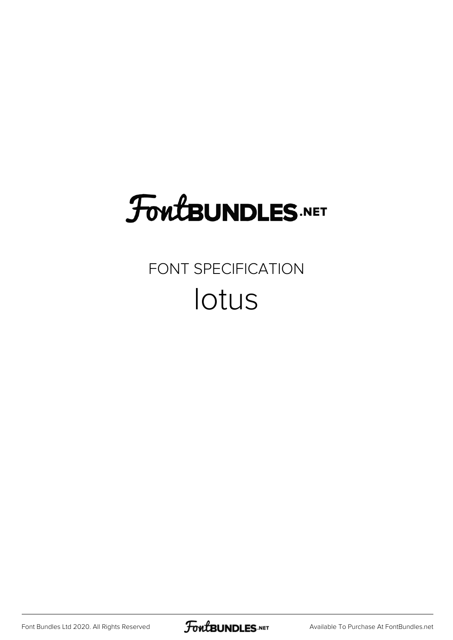## **FoutBUNDLES.NET**

## FONT SPECIFICATION lotus

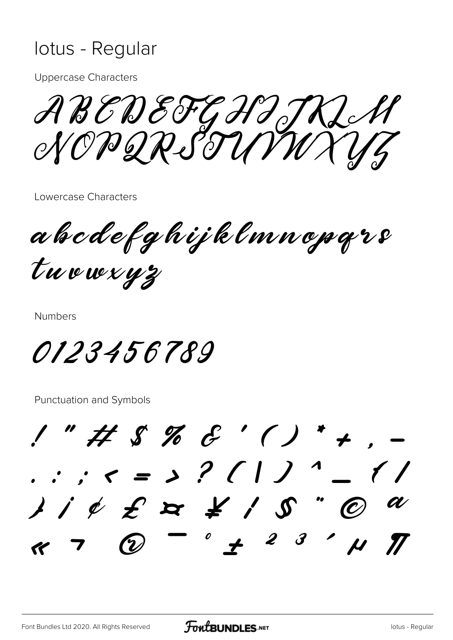## lotus - Regular

**Uppercase Characters** 

ABEDEFGHIJKLH

Lowercase Characters

a h c d e f g h i j k l m n o p q r s tuowxyz

**Numbers** 

0123456789

**Punctuation and Symbols** 

 $1"$ # \$ % & '()\* + . . .  $\zeta = 3$  ? ( | ) ^ \_  $1/\ell$   $\neq$   $\geq$   $\geq$   $\neq$   $/$   $\mathcal{S}$  "  $\oslash$  $\begin{array}{ccc} \circ & & 2 & 3 \end{array}$ **(V)**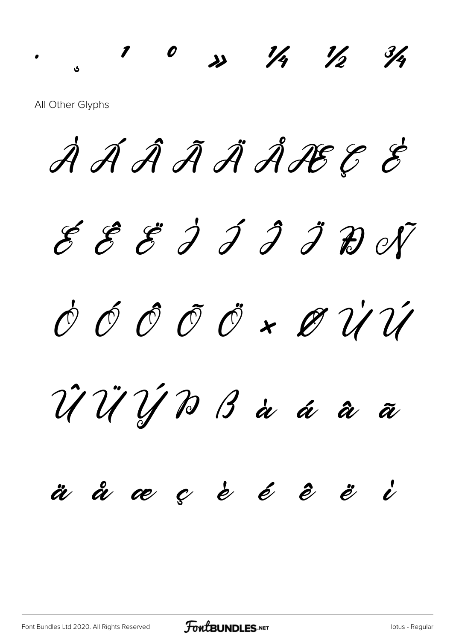All Other Glyphs

À Á Â Ã Ä Å Æ Ç È

 $1$  0  $x$  1/2 1/2 3/4

 $\mathcal E$   $\mathcal E$   $\mathcal J$   $\mathcal J$   $\mathcal J$   $\mathcal J$   $\mathcal D$  of  $\acute{\mathcal{O}}$   $\acute{\mathcal{O}}$   $\mathcal{O}$   $\acute{\mathcal{O}}$   $\ast$   $\mathcal{O}$   $\dot{\mathcal{U}}$   $\dot{\mathcal{U}}$ 

Û Ü Ý Þ ß à á â ã

## ä å æ ç è é ê ë ì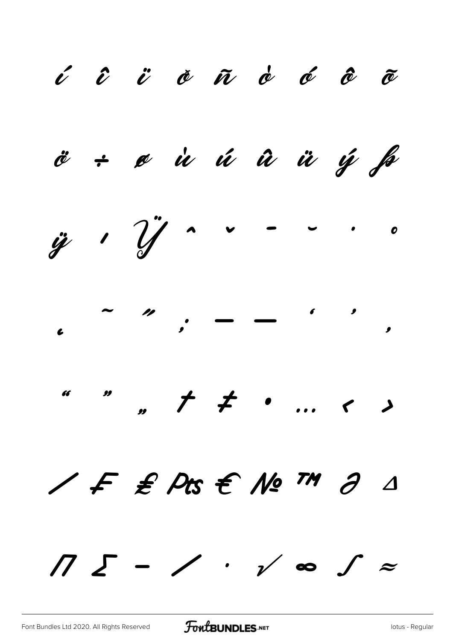í î ï ð ñ ò ó ô õ ö ÷ ø ù ú û ü ý þ  $\ddot{y}$  '  $\dddot{y}$   $\ddot{y}$   $\sim$   $\cdots$   $\circ$  $\ddot{\phantom{0}}$ ˜ ˝ ; – — ' ' ' " " " † ‡ • … ‹ › ⁄ ₣ ₤ ₧ € № ™ ∂ ∆ ∏ ∑ − ∕ ∙ √ ∞ ∫ ≈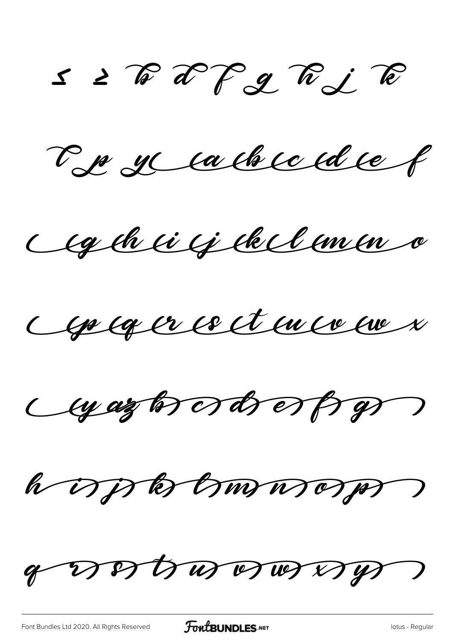$S \geq \sqrt[m]{x}$  a  $\sqrt[m]{y}$   $\approx$ 

Le recachie du f

Agénci qu'elle concer

Ceptager ce et en co en x

Cyazon ords espros

hopperburneren

o votrovodstv